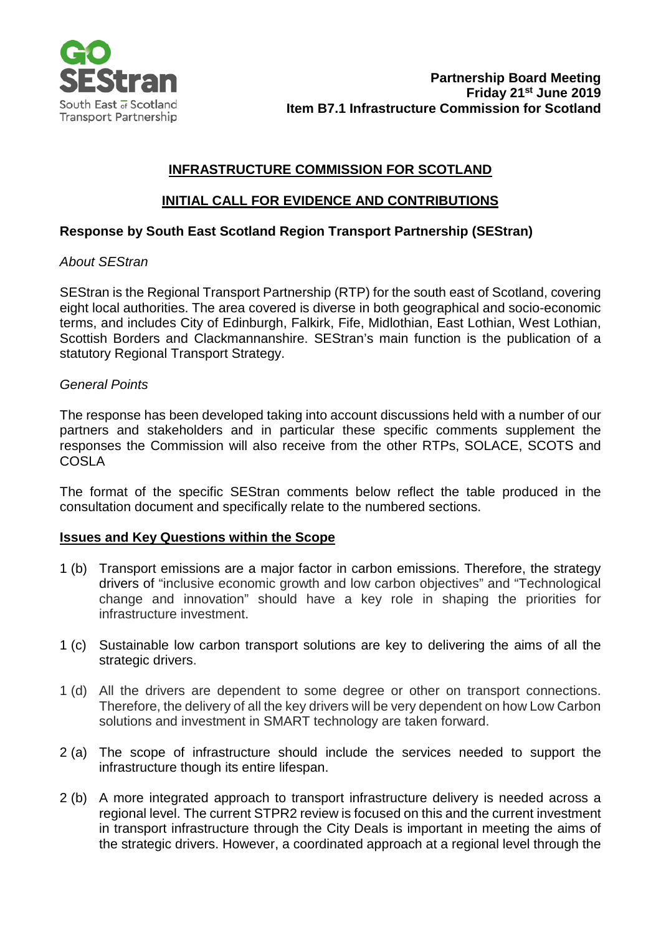

# **INFRASTRUCTURE COMMISSION FOR SCOTLAND**

## **INITIAL CALL FOR EVIDENCE AND CONTRIBUTIONS**

### **Response by South East Scotland Region Transport Partnership (SEStran)**

### *About SEStran*

SEStran is the Regional Transport Partnership (RTP) for the south east of Scotland, covering eight local authorities. The area covered is diverse in both geographical and socio-economic terms, and includes City of Edinburgh, Falkirk, Fife, Midlothian, East Lothian, West Lothian, Scottish Borders and Clackmannanshire. SEStran's main function is the publication of a statutory Regional Transport Strategy.

#### *General Points*

The response has been developed taking into account discussions held with a number of our partners and stakeholders and in particular these specific comments supplement the responses the Commission will also receive from the other RTPs, SOLACE, SCOTS and COSLA

The format of the specific SEStran comments below reflect the table produced in the consultation document and specifically relate to the numbered sections.

#### **Issues and Key Questions within the Scope**

- 1 (b) Transport emissions are a major factor in carbon emissions. Therefore, the strategy drivers of "inclusive economic growth and low carbon objectives" and "Technological change and innovation" should have a key role in shaping the priorities for infrastructure investment.
- 1 (c) Sustainable low carbon transport solutions are key to delivering the aims of all the strategic drivers.
- 1 (d) All the drivers are dependent to some degree or other on transport connections. Therefore, the delivery of all the key drivers will be very dependent on how Low Carbon solutions and investment in SMART technology are taken forward.
- 2 (a) The scope of infrastructure should include the services needed to support the infrastructure though its entire lifespan.
- 2 (b) A more integrated approach to transport infrastructure delivery is needed across a regional level. The current STPR2 review is focused on this and the current investment in transport infrastructure through the City Deals is important in meeting the aims of the strategic drivers. However, a coordinated approach at a regional level through the